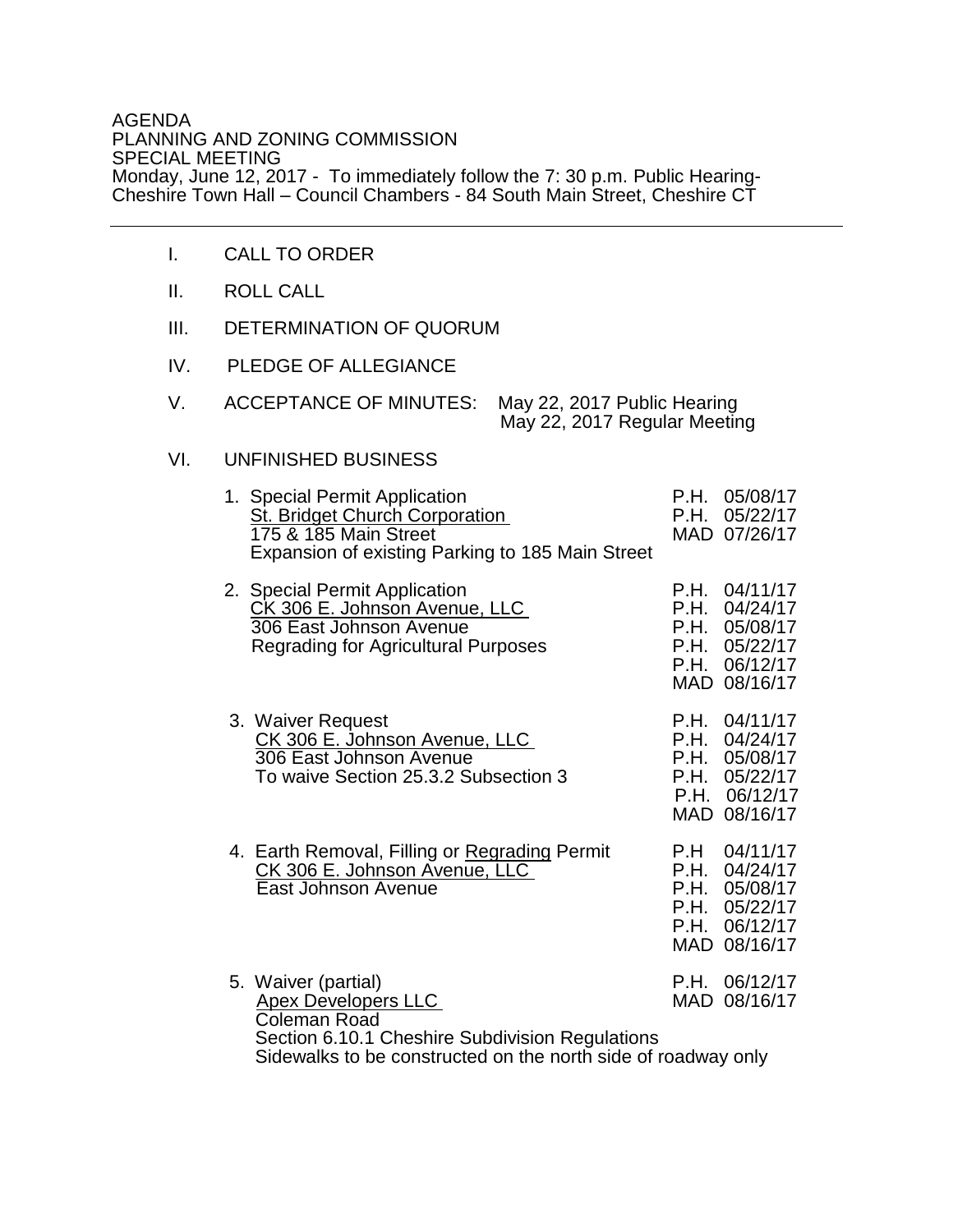## AGENDA PLANNING AND ZONING COMMISSION SPECIAL MEETING Monday, June 12, 2017 - To immediately follow the 7: 30 p.m. Public Hearing-Cheshire Town Hall – Council Chambers - 84 South Main Street, Cheshire CT

- I. CALL TO ORDER
- II. ROLL CALL
- III. DETERMINATION OF QUORUM
- IV. PLEDGE OF ALLEGIANCE
- V. ACCEPTANCE OF MINUTES: May 22, 2017 Public Hearing May 22, 2017 Regular Meeting

## VI. UNFINISHED BUSINESS

| 1. Special Permit Application<br><b>St. Bridget Church Corporation</b><br>175 & 185 Main Street<br>Expansion of existing Parking to 185 Main Street                                   | P.H.<br>P.H.                         | 05/08/17<br>05/22/17<br>MAD 07/26/17                                     |
|---------------------------------------------------------------------------------------------------------------------------------------------------------------------------------------|--------------------------------------|--------------------------------------------------------------------------|
| 2. Special Permit Application<br>CK 306 E. Johnson Avenue, LLC<br>306 East Johnson Avenue<br><b>Regrading for Agricultural Purposes</b>                                               | P.H.<br>P.H.<br>P.H.<br>P.H.<br>P.H. | 04/11/17<br>04/24/17<br>05/08/17<br>05/22/17<br>06/12/17<br>MAD 08/16/17 |
| 3. Waiver Request<br>CK 306 E. Johnson Avenue, LLC<br>306 East Johnson Avenue<br>To waive Section 25.3.2 Subsection 3                                                                 | P.H.<br>P.H.<br>P.H.<br>P.H.<br>P.H. | 04/11/17<br>04/24/17<br>05/08/17<br>05/22/17<br>06/12/17<br>MAD 08/16/17 |
| 4. Earth Removal, Filling or Regrading Permit<br>CK 306 E. Johnson Avenue, LLC<br>East Johnson Avenue                                                                                 | P.H<br>P.H.<br>P.H.<br>P.H.<br>P.H.  | 04/11/17<br>04/24/17<br>05/08/17<br>05/22/17<br>06/12/17<br>MAD 08/16/17 |
| 5. Waiver (partial)<br><b>Apex Developers LLC</b><br>Coleman Road<br>Section 6.10.1 Cheshire Subdivision Regulations<br>Sidewalks to be constructed on the north side of roadway only | P.H.                                 | 06/12/17<br>MAD 08/16/17                                                 |